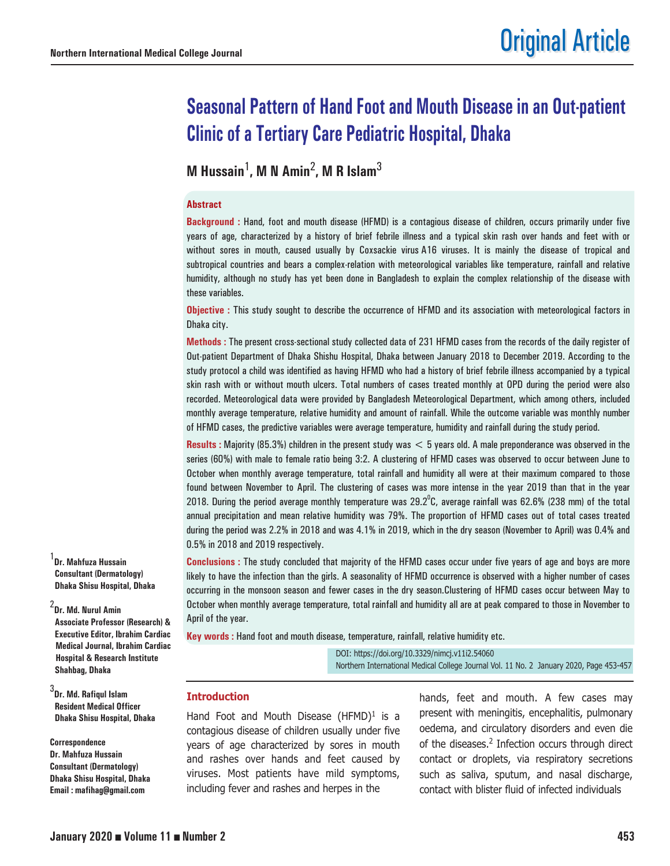# **Seasonal Pattern of Hand Foot and Mouth Disease in an Out-patient Clinic of a Tertiary Care Pediatric Hospital, Dhaka**

**M Hussain**1**, M N Amin**2**, M R Islam**<sup>3</sup>

#### **Abstract**

**Background :** Hand, foot and mouth disease (HFMD) is a contagious disease of children, occurs primarily under five years of age, characterized by a history of brief febrile illness and a typical skin rash over hands and feet with or without sores in mouth, caused usually by Coxsackie virus A16 viruses. It is mainly the disease of tropical and subtropical countries and bears a complex-relation with meteorological variables like temperature, rainfall and relative humidity, although no study has yet been done in Bangladesh to explain the complex relationship of the disease with these variables.

**Objective :** This study sought to describe the occurrence of HFMD and its association with meteorological factors in Dhaka city.

**Methods :** The present cross-sectional study collected data of 231 HFMD cases from the records of the daily register of Out-patient Department of Dhaka Shishu Hospital, Dhaka between January 2018 to December 2019. According to the study protocol a child was identified as having HFMD who had a history of brief febrile illness accompanied by a typical skin rash with or without mouth ulcers. Total numbers of cases treated monthly at OPD during the period were also recorded. Meteorological data were provided by Bangladesh Meteorological Department, which among others, included monthly average temperature, relative humidity and amount of rainfall. While the outcome variable was monthly number of HFMD cases, the predictive variables were average temperature, humidity and rainfall during the study period.

**Results :** Majority (85.3%) children in the present study was < 5 years old. A male preponderance was observed in the series (60%) with male to female ratio being 3:2. A clustering of HFMD cases was observed to occur between June to October when monthly average temperature, total rainfall and humidity all were at their maximum compared to those found between November to April. The clustering of cases was more intense in the year 2019 than that in the year 2018. During the period average monthly temperature was 29.2 $^{\circ}$ C, average rainfall was 62.6% (238 mm) of the total annual precipitation and mean relative humidity was 79%. The proportion of HFMD cases out of total cases treated during the period was 2.2% in 2018 and was 4.1% in 2019, which in the dry season (November to April) was 0.4% and 0.5% in 2018 and 2019 respectively.

**Conclusions :** The study concluded that majority of the HFMD cases occur under five years of age and boys are more likely to have the infection than the girls. A seasonality of HFMD occurrence is observed with a higher number of cases occurring in the monsoon season and fewer cases in the dry season.Clustering of HFMD cases occur between May to October when monthly average temperature, total rainfall and humidity all are at peak compared to those in November to April of the year.

**Key words :** Hand foot and mouth disease, temperature, rainfall, relative humidity etc.

DOI: https://doi.org/10.3329/nimcj.v11i2.54060 Northern International Medical College Journal Vol. 11 No. 2 January 2020, Page 453-457

# **Introduction**

Hand Foot and Mouth Disease  $(HFMD)^1$  is a contagious disease of children usually under five years of age characterized by sores in mouth and rashes over hands and feet caused by viruses. Most patients have mild symptoms, including fever and rashes and herpes in the

hands, feet and mouth. A few cases may present with meningitis, encephalitis, pulmonary oedema, and circulatory disorders and even die of the diseases.<sup>2</sup> Infection occurs through direct contact or droplets, via respiratory secretions such as saliva, sputum, and nasal discharge, contact with blister fluid of infected individuals

1 **Dr. Mahfuza Hussain Consultant (Dermatology) Dhaka Shisu Hospital, Dhaka**

2 **Dr. Md. Nurul Amin Associate Professor (Research) & Executive Editor, Ibrahim Cardiac Medical Journal, Ibrahim Cardiac Hospital & Research Institute Shahbag, Dhaka**

3 **Dr. Md. Rafiqul Islam Resident Medical Officer Dhaka Shisu Hospital, Dhaka**

**Correspondence Dr. Mahfuza Hussain Consultant (Dermatology) Dhaka Shisu Hospital, Dhaka Email : mafihag@gmail.com**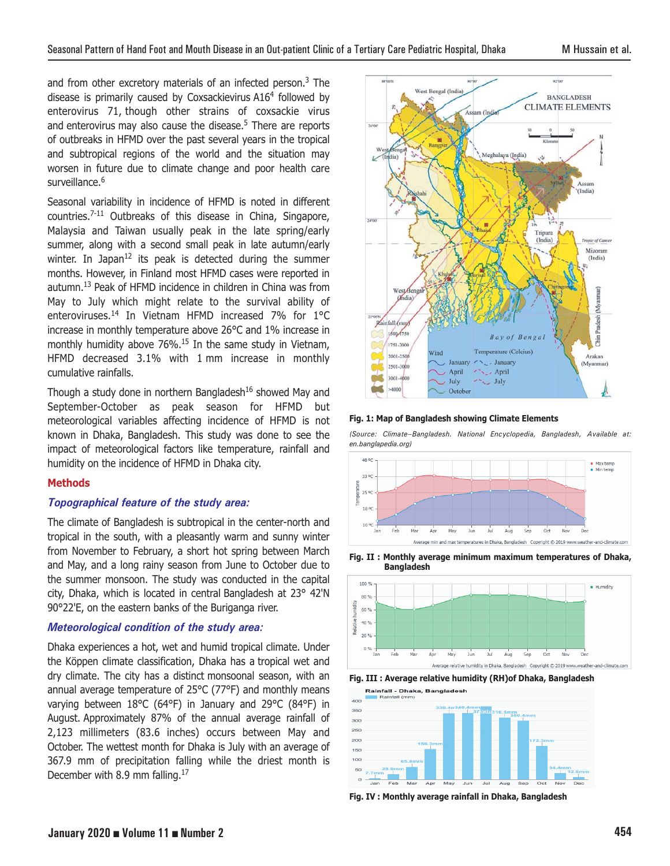and from other excretory materials of an infected person.<sup>3</sup> The disease is primarily caused by Coxsackievirus A16<sup>4</sup> followed by enterovirus 71, though other strains of coxsackie virus and enterovirus may also cause the disease.<sup>5</sup> There are reports of outbreaks in HFMD over the past several years in the tropical and subtropical regions of the world and the situation may worsen in future due to climate change and poor health care surveillance.<sup>6</sup>

Seasonal variability in incidence of HFMD is noted in different countries.7-11 Outbreaks of this disease in China, Singapore, Malaysia and Taiwan usually peak in the late spring/early summer, along with a second small peak in late autumn/early winter. In Japan<sup>12</sup> its peak is detected during the summer months. However, in Finland most HFMD cases were reported in autumn.13 Peak of HFMD incidence in children in China was from May to July which might relate to the survival ability of enteroviruses.14 In Vietnam HFMD increased 7% for 1°C increase in monthly temperature above 26°C and 1% increase in monthly humidity above 76%.<sup>15</sup> In the same study in Vietnam, HFMD decreased 3.1% with 1 mm increase in monthly cumulative rainfalls.

Though a study done in northern Bangladesh $16$  showed May and September-October as peak season for HFMD but meteorological variables affecting incidence of HFMD is not known in Dhaka, Bangladesh. This study was done to see the impact of meteorological factors like temperature, rainfall and humidity on the incidence of HFMD in Dhaka city.

## **Methods**

## *Topographical feature of the study area:*

The climate of Bangladesh is subtropical in the center-north and tropical in the south, with a pleasantly warm and sunny winter from November to February, a short hot spring between March and May, and a long rainy season from June to October due to the summer monsoon. The study was conducted in the capital city, Dhaka, which is located in central Bangladesh at 23° 42'N 90°22'E, on the eastern banks of the Buriganga river.

## *Meteorological condition of the study area:*

Dhaka experiences a hot, wet and humid tropical climate. Under the Köppen climate classification, Dhaka has a tropical wet and dry climate. The city has a distinct monsoonal season, with an annual average temperature of 25°C (77°F) and monthly means varying between 18°C (64°F) in January and 29°C (84°F) in August. Approximately 87% of the annual average rainfall of 2,123 millimeters (83.6 inches) occurs between May and October. The wettest month for Dhaka is July with an average of 367.9 mm of precipitation falling while the driest month is December with 8.9 mm falling.<sup>17</sup>



#### **Fig. 1: Map of Bangladesh showing Climate Elements**

*(Source: Climate–Bangladesh. National Encyclopedia, Bangladesh, Available at: en.banglapedia.org)*











**Fig. IV : Monthly average rainfall in Dhaka, Bangladesh**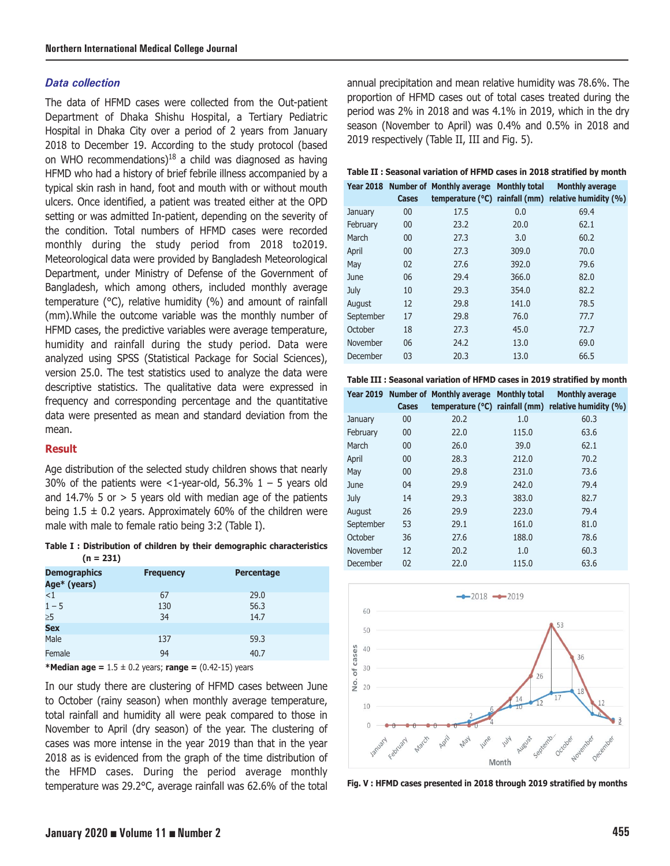## *Data collection*

The data of HFMD cases were collected from the Out-patient Department of Dhaka Shishu Hospital, a Tertiary Pediatric Hospital in Dhaka City over a period of 2 years from January 2018 to December 19. According to the study protocol (based on WHO recommendations)<sup>18</sup> a child was diagnosed as having HFMD who had a history of brief febrile illness accompanied by a typical skin rash in hand, foot and mouth with or without mouth ulcers. Once identified, a patient was treated either at the OPD setting or was admitted In-patient, depending on the severity of the condition. Total numbers of HFMD cases were recorded monthly during the study period from 2018 to2019. Meteorological data were provided by Bangladesh Meteorological Department, under Ministry of Defense of the Government of Bangladesh, which among others, included monthly average temperature (°C), relative humidity (%) and amount of rainfall (mm).While the outcome variable was the monthly number of HFMD cases, the predictive variables were average temperature, humidity and rainfall during the study period. Data were analyzed using SPSS (Statistical Package for Social Sciences), version 25.0. The test statistics used to analyze the data were descriptive statistics. The qualitative data were expressed in frequency and corresponding percentage and the quantitative data were presented as mean and standard deviation from the mean.

## **Result**

Age distribution of the selected study children shows that nearly 30% of the patients were  $\langle$ 1-year-old, 56.3% 1 – 5 years old and  $14.7\%$  5 or  $> 5$  years old with median age of the patients being  $1.5 \pm 0.2$  years. Approximately 60% of the children were male with male to female ratio being 3:2 (Table I).

**Table I : Distribution of children by their demographic characteristics (n = 231)**

| <b>Frequency</b> | <b>Percentage</b> |
|------------------|-------------------|
| 67               | 29.0              |
| 130              | 56.3              |
| 34               | 14.7              |
|                  |                   |
| 137              | 59.3              |
| 94               | 40.7              |
|                  |                   |

**\*Median age =** 1.5 ± 0.2 years; **range =** (0.42-15) years

In our study there are clustering of HFMD cases between June to October (rainy season) when monthly average temperature, total rainfall and humidity all were peak compared to those in November to April (dry season) of the year. The clustering of cases was more intense in the year 2019 than that in the year 2018 as is evidenced from the graph of the time distribution of the HFMD cases. During the period average monthly temperature was 29.2°C, average rainfall was 62.6% of the total annual precipitation and mean relative humidity was 78.6%. The proportion of HFMD cases out of total cases treated during the period was 2% in 2018 and was 4.1% in 2019, which in the dry season (November to April) was 0.4% and 0.5% in 2018 and 2019 respectively (Table II, III and Fig. 5).

#### **Table II : Seasonal variation of HFMD cases in 2018 stratified by month**

|           | Cases | Year 2018 Number of Monthly average Monthly total |       | <b>Monthly average</b><br>temperature ( $^{\circ}$ C) rainfall (mm) relative humidity (%) |
|-----------|-------|---------------------------------------------------|-------|-------------------------------------------------------------------------------------------|
| January   | 00    | 17.5                                              | 0.0   | 69.4                                                                                      |
| February  | 00    | 23.2                                              | 20.0  | 62.1                                                                                      |
| March     | 00    | 27.3                                              | 3.0   | 60.2                                                                                      |
| April     | 00    | 27.3                                              | 309.0 | 70.0                                                                                      |
| May       | 02    | 27.6                                              | 392.0 | 79.6                                                                                      |
| June      | 06    | 29.4                                              | 366.0 | 82.0                                                                                      |
| July      | 10    | 29.3                                              | 354.0 | 82.2                                                                                      |
| August    | 12    | 29.8                                              | 141.0 | 78.5                                                                                      |
| September | 17    | 29.8                                              | 76.0  | 77.7                                                                                      |
| October   | 18    | 27.3                                              | 45.0  | 72.7                                                                                      |
| November  | 06    | 24.2                                              | 13.0  | 69.0                                                                                      |
| December  | 03    | 20.3                                              | 13.0  | 66.5                                                                                      |



|           | Cases | Year 2019 Number of Monthly average Monthly total |       | <b>Monthly average</b><br>temperature ( $^{\circ}$ C) rainfall (mm) relative humidity (%) |
|-----------|-------|---------------------------------------------------|-------|-------------------------------------------------------------------------------------------|
| January   | 00    | 20.2                                              | 1.0   | 60.3                                                                                      |
| February  | 00    | 22.0                                              | 115.0 | 63.6                                                                                      |
| March     | 00    | 26.0                                              | 39.0  | 62.1                                                                                      |
| April     | 00    | 28.3                                              | 212.0 | 70.2                                                                                      |
| May       | 00    | 29.8                                              | 231.0 | 73.6                                                                                      |
| June      | 04    | 29.9                                              | 242.0 | 79.4                                                                                      |
| July      | 14    | 29.3                                              | 383.0 | 82.7                                                                                      |
| August    | 26    | 29.9                                              | 223.0 | 79.4                                                                                      |
| September | 53    | 29.1                                              | 161.0 | 81.0                                                                                      |
| October   | 36    | 27.6                                              | 188.0 | 78.6                                                                                      |
| November  | 12    | 20.2                                              | 1.0   | 60.3                                                                                      |
| December  | 02    | 22.0                                              | 115.0 | 63.6                                                                                      |



**Fig. V : HFMD cases presented in 2018 through 2019 stratified by months**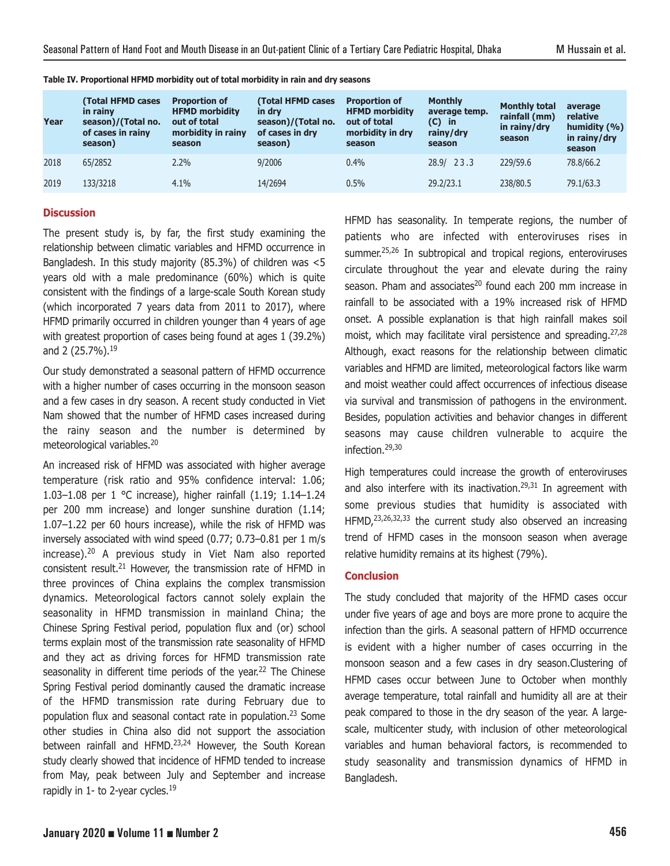| Year | <b>(Total HFMD cases</b><br>in rainv<br>season)/(Total no.<br>of cases in rainy<br>season) | <b>Proportion of</b><br><b>HFMD morbidity</b><br>out of total<br>morbidity in rainy<br>season | (Total HFMD cases<br>in drv<br>season)/(Total no.<br>of cases in dry<br>season) | <b>Proportion of</b><br><b>HFMD morbidity</b><br>out of total<br>morbidity in dry<br>season | <b>Monthly</b><br>average temp.<br>$(C)$ in<br>rainy/dry<br>season | <b>Monthly total</b><br>rainfall (mm)<br>in rainy/dry<br>season | average<br>relative<br>humidity $(% )$<br>in rainy/dry<br>season |
|------|--------------------------------------------------------------------------------------------|-----------------------------------------------------------------------------------------------|---------------------------------------------------------------------------------|---------------------------------------------------------------------------------------------|--------------------------------------------------------------------|-----------------------------------------------------------------|------------------------------------------------------------------|
| 2018 | 65/2852                                                                                    | 2.2%                                                                                          | 9/2006                                                                          | $0.4\%$                                                                                     | 28.9/23.3                                                          | 229/59.6                                                        | 78,8/66,2                                                        |
| 2019 | 133/3218                                                                                   | 4.1%                                                                                          | 14/2694                                                                         | 0.5%                                                                                        | 29.2/23.1                                                          | 238/80.5                                                        | 79.1/63.3                                                        |

**Table IV. Proportional HFMD morbidity out of total morbidity in rain and dry seasons**

### **Discussion**

The present study is, by far, the first study examining the relationship between climatic variables and HFMD occurrence in Bangladesh. In this study majority (85.3%) of children was <5 years old with a male predominance (60%) which is quite consistent with the findings of a large-scale South Korean study (which incorporated 7 years data from 2011 to 2017), where HFMD primarily occurred in children younger than 4 years of age with greatest proportion of cases being found at ages 1 (39.2%) and 2 (25.7%).<sup>19</sup>

Our study demonstrated a seasonal pattern of HFMD occurrence with a higher number of cases occurring in the monsoon season and a few cases in dry season. A recent study conducted in Viet Nam showed that the number of HFMD cases increased during the rainy season and the number is determined by meteorological variables.20

An increased risk of HFMD was associated with higher average temperature (risk ratio and 95% confidence interval: 1.06; 1.03–1.08 per 1 °C increase), higher rainfall (1.19; 1.14–1.24 per 200 mm increase) and longer sunshine duration (1.14; 1.07–1.22 per 60 hours increase), while the risk of HFMD was inversely associated with wind speed (0.77; 0.73–0.81 per 1 m/s increase).20 A previous study in Viet Nam also reported consistent result.<sup>21</sup> However, the transmission rate of HFMD in three provinces of China explains the complex transmission dynamics. Meteorological factors cannot solely explain the seasonality in HFMD transmission in mainland China; the Chinese Spring Festival period, population flux and (or) school terms explain most of the transmission rate seasonality of HFMD and they act as driving forces for HFMD transmission rate seasonality in different time periods of the year.<sup>22</sup> The Chinese Spring Festival period dominantly caused the dramatic increase of the HFMD transmission rate during February due to population flux and seasonal contact rate in population.<sup>23</sup> Some other studies in China also did not support the association between rainfall and HFMD.<sup>23,24</sup> However, the South Korean study clearly showed that incidence of HFMD tended to increase from May, peak between July and September and increase rapidly in 1- to 2-year cycles.<sup>19</sup>

HFMD has seasonality. In temperate regions, the number of patients who are infected with enteroviruses rises in summer.<sup>25,26</sup> In subtropical and tropical regions, enteroviruses circulate throughout the year and elevate during the rainy season. Pham and associates<sup>20</sup> found each 200 mm increase in rainfall to be associated with a 19% increased risk of HFMD onset. A possible explanation is that high rainfall makes soil moist, which may facilitate viral persistence and spreading.<sup>27,28</sup> Although, exact reasons for the relationship between climatic variables and HFMD are limited, meteorological factors like warm and moist weather could affect occurrences of infectious disease via survival and transmission of pathogens in the environment. Besides, population activities and behavior changes in different seasons may cause children vulnerable to acquire the infection.29,30

High temperatures could increase the growth of enteroviruses and also interfere with its inactivation. $29,31$  In agreement with some previous studies that humidity is associated with HFMD,<sup>23,26,32,33</sup> the current study also observed an increasing trend of HFMD cases in the monsoon season when average relative humidity remains at its highest (79%).

## **Conclusion**

The study concluded that majority of the HFMD cases occur under five years of age and boys are more prone to acquire the infection than the girls. A seasonal pattern of HFMD occurrence is evident with a higher number of cases occurring in the monsoon season and a few cases in dry season.Clustering of HFMD cases occur between June to October when monthly average temperature, total rainfall and humidity all are at their peak compared to those in the dry season of the year. A largescale, multicenter study, with inclusion of other meteorological variables and human behavioral factors, is recommended to study seasonality and transmission dynamics of HFMD in Bangladesh.